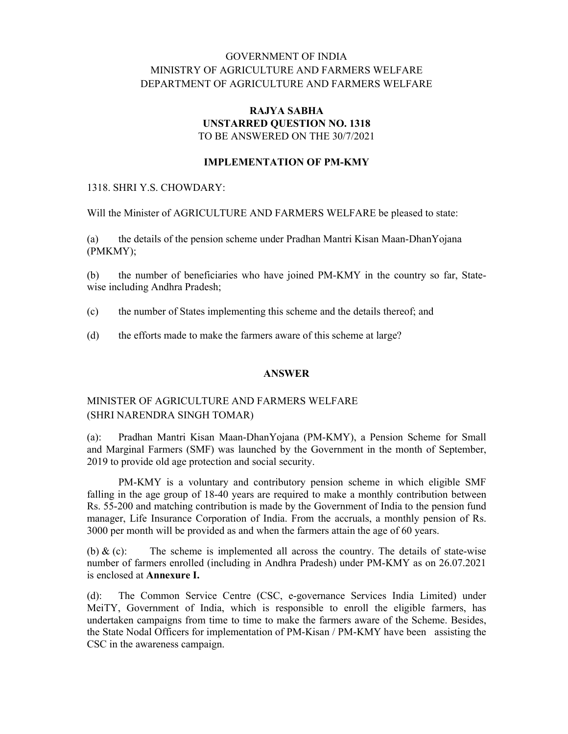# GOVERNMENT OF INDIA MINISTRY OF AGRICULTURE AND FARMERS WELFARE DEPARTMENT OF AGRICULTURE AND FARMERS WELFARE

### RAJYA SABHA UNSTARRED QUESTION NO. 1318 TO BE ANSWERED ON THE 30/7/2021

### IMPLEMENTATION OF PM-KMY

#### 1318. SHRI Y.S. CHOWDARY:

Will the Minister of AGRICULTURE AND FARMERS WELFARE be pleased to state:

(a) the details of the pension scheme under Pradhan Mantri Kisan Maan-DhanYojana (PMKMY);

(b) the number of beneficiaries who have joined PM-KMY in the country so far, Statewise including Andhra Pradesh;

- (c) the number of States implementing this scheme and the details thereof; and
- (d) the efforts made to make the farmers aware of this scheme at large?

#### ANSWER

# MINISTER OF AGRICULTURE AND FARMERS WELFARE (SHRI NARENDRA SINGH TOMAR)

(a): Pradhan Mantri Kisan Maan-DhanYojana (PM-KMY), a Pension Scheme for Small and Marginal Farmers (SMF) was launched by the Government in the month of September, 2019 to provide old age protection and social security.

PM-KMY is a voluntary and contributory pension scheme in which eligible SMF falling in the age group of 18-40 years are required to make a monthly contribution between Rs. 55-200 and matching contribution is made by the Government of India to the pension fund manager, Life Insurance Corporation of India. From the accruals, a monthly pension of Rs. 3000 per month will be provided as and when the farmers attain the age of 60 years.

(b)  $\&$  (c): The scheme is implemented all across the country. The details of state-wise number of farmers enrolled (including in Andhra Pradesh) under PM-KMY as on 26.07.2021 is enclosed at Annexure I.

(d): The Common Service Centre (CSC, e-governance Services India Limited) under MeiTY, Government of India, which is responsible to enroll the eligible farmers, has undertaken campaigns from time to time to make the farmers aware of the Scheme. Besides, the State Nodal Officers for implementation of PM-Kisan / PM-KMY have been assisting the CSC in the awareness campaign.